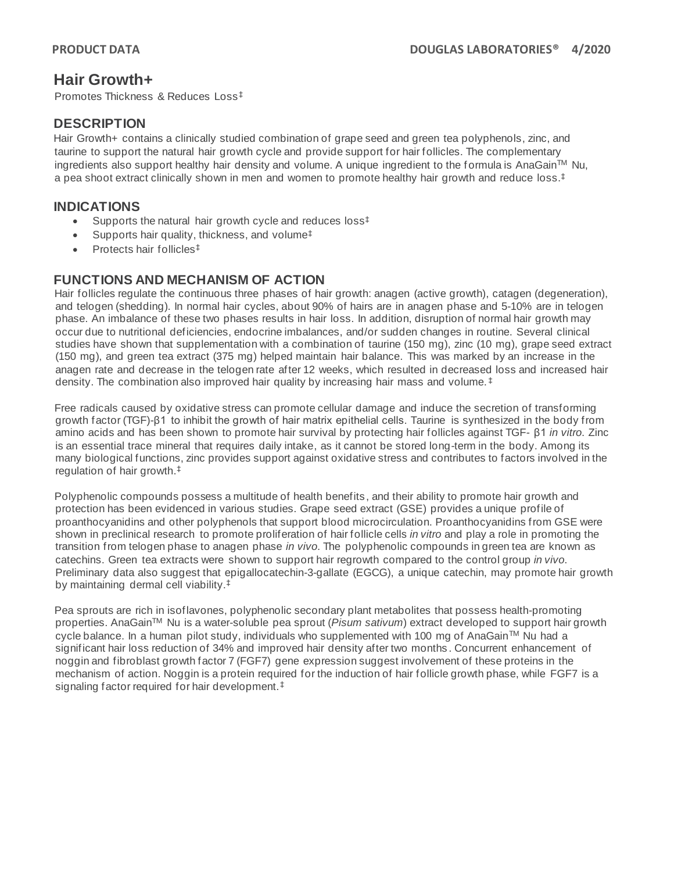# **Hair Growth+**

Promotes Thickness & Reduces Loss‡

# **DESCRIPTION**

Hair Growth+ contains a clinically studied combination of grape seed and green tea polyphenols, zinc, and taurine to support the natural hair growth cycle and provide support for hair follicles. The complementary ingredients also support healthy hair density and volume. A unique ingredient to the formula is AnaGain™ Nu, a pea shoot extract clinically shown in men and women to promote healthy hair growth and reduce loss. ‡

## **INDICATIONS**

- Supports the natural hair growth cycle and reduces loss<sup>‡</sup>
- Supports hair quality, thickness, and volume<sup>‡</sup>
- Protects hair follicles<sup>‡</sup>

# **FUNCTIONS AND MECHANISM OF ACTION**

Hair follicles regulate the continuous three phases of hair growth: anagen (active growth), catagen (degeneration), and telogen (shedding). In normal hair cycles, about 90% of hairs are in anagen phase and 5-10% are in telogen phase. An imbalance of these two phases results in hair loss. In addition, disruption of normal hair growth may occur due to nutritional deficiencies, endocrine imbalances, and/or sudden changes in routine. Several clinical studies have shown that supplementation with a combination of taurine (150 mg), zinc (10 mg), grape seed extract (150 mg), and green tea extract (375 mg) helped maintain hair balance. This was marked by an increase in the anagen rate and decrease in the telogen rate after 12 weeks, which resulted in decreased loss and increased hair density. The combination also improved hair quality by increasing hair mass and volume. ‡

Free radicals caused by oxidative stress can promote cellular damage and induce the secretion of transforming growth factor (TGF)-β1 to inhibit the growth of hair matrix epithelial cells. Taurine is synthesized in the body from amino acids and has been shown to promote hair survival by protecting hair follicles against TGF- β1 *in vitro*. Zinc is an essential trace mineral that requires daily intake, as it cannot be stored long-term in the body. Among its many biological functions, zinc provides support against oxidative stress and contributes to factors involved in the regulation of hair growth. ‡

Polyphenolic compounds possess a multitude of health benefits, and their ability to promote hair growth and protection has been evidenced in various studies. Grape seed extract (GSE) provides a unique profile of proanthocyanidins and other polyphenols that support blood microcirculation. Proanthocyanidins from GSE were shown in preclinical research to promote proliferation of hair follicle cells *in vitro* and play a role in promoting the transition from telogen phase to anagen phase *in vivo*. The polyphenolic compounds in green tea are known as catechins. Green tea extracts were shown to support hair regrowth compared to the control group *in vivo*. Preliminary data also suggest that epigallocatechin-3-gallate (EGCG), a unique catechin, may promote hair growth by maintaining dermal cell viability. ‡

Pea sprouts are rich in isoflavones, polyphenolic secondary plant metabolites that possess health-promoting properties. AnaGainTM Nu is a water-soluble pea sprout (*Pisum sativum*) extract developed to support hair growth cycle balance. In a human pilot study, individuals who supplemented with 100 mg of AnaGain™ Nu had a significant hair loss reduction of 34% and improved hair density after two months . Concurrent enhancement of noggin and fibroblast growth factor 7 (FGF7) gene expression suggest involvement of these proteins in the mechanism of action. Noggin is a protein required for the induction of hair follicle growth phase, while FGF7 is a signaling factor required for hair development.‡